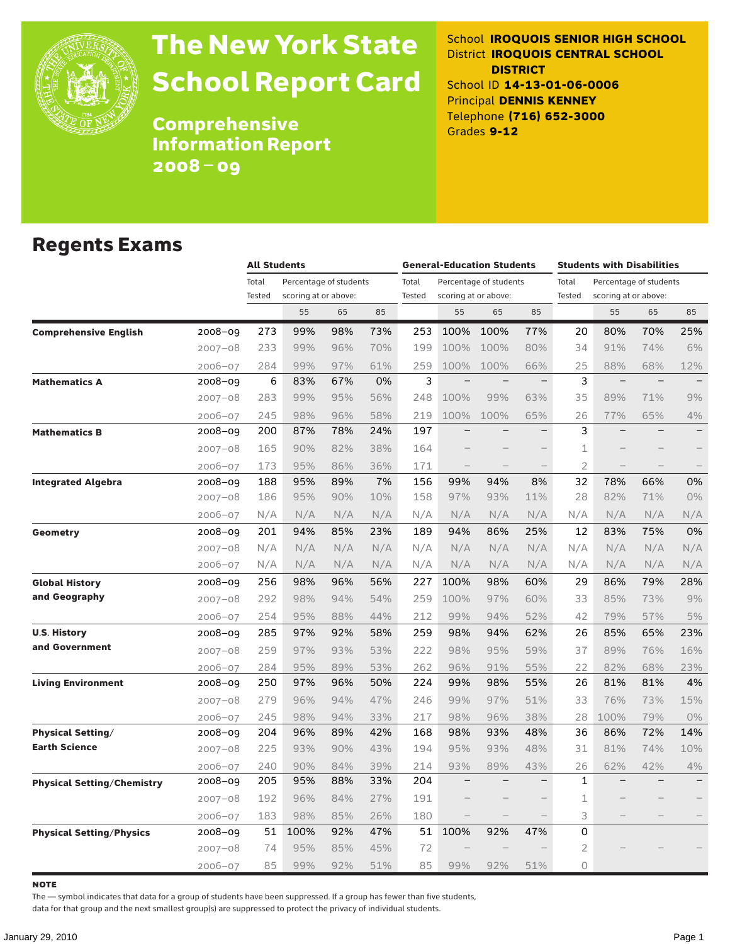

# The New York State School Report Card

School **IROQUOIS SENIOR HIGH SCHOOL** District **IROQUOIS CENTRAL SCHOOL DISTRICT** School ID **14-13-01-06-0006** Principal **DENNIS KENNEY** Telephone **(716) 652-3000** Grades **9-12**

**Comprehensive** Information Report 2008–09

### Regents Exams

|                                 |             |                 | <b>All Students</b>                            |     |     | <b>General-Education Students</b> |      |                                                |                          | <b>Students with Disabilities</b> |                                                |                          |                          |
|---------------------------------|-------------|-----------------|------------------------------------------------|-----|-----|-----------------------------------|------|------------------------------------------------|--------------------------|-----------------------------------|------------------------------------------------|--------------------------|--------------------------|
|                                 |             | Total<br>Tested | Percentage of students<br>scoring at or above: |     |     | Total<br><b>Tested</b>            |      | Percentage of students<br>scoring at or above: |                          | Total<br>Tested                   | Percentage of students<br>scoring at or above: |                          |                          |
|                                 |             |                 | 55                                             | 65  | 85  |                                   | 55   | 65                                             | 85                       |                                   | 55                                             | 65                       | 85                       |
| <b>Comprehensive English</b>    | 2008-09     | 273             | 99%                                            | 98% | 73% | 253                               | 100% | 100%                                           | 77%                      | 20                                | 80%                                            | 70%                      | 25%                      |
|                                 | $2007 - 08$ | 233             | 99%                                            | 96% | 70% | 199                               | 100% | 100%                                           | 80%                      | 34                                | 91%                                            | 74%                      | 6%                       |
|                                 | $2006 - 07$ | 284             | 99%                                            | 97% | 61% | 259                               | 100% | 100%                                           | 66%                      | 25                                | 88%                                            | 68%                      | 12%                      |
| <b>Mathematics A</b>            | 2008-09     | 6               | 83%                                            | 67% | 0%  | 3                                 |      |                                                | $\qquad \qquad -$        | 3                                 | $\qquad \qquad -$                              | $\equiv$                 |                          |
|                                 | $2007 - 08$ | 283             | 99%                                            | 95% | 56% | 248                               | 100% | 99%                                            | 63%                      | 35                                | 89%                                            | 71%                      | 9%                       |
|                                 | $2006 - 07$ | 245             | 98%                                            | 96% | 58% | 219                               | 100% | 100%                                           | 65%                      | 26                                | 77%                                            | 65%                      | 4%                       |
| <b>Mathematics B</b>            | 2008-09     | 200             | 87%                                            | 78% | 24% | 197                               |      |                                                | $\overline{\phantom{0}}$ | 3                                 |                                                | $\overline{\phantom{0}}$ | $\overline{\phantom{0}}$ |
|                                 | $2007 - 08$ | 165             | 90%                                            | 82% | 38% | 164                               |      |                                                |                          | $\mathbf{1}$                      |                                                |                          |                          |
|                                 | $2006 - 07$ | 173             | 95%                                            | 86% | 36% | 171                               |      |                                                |                          | $\overline{2}$                    |                                                |                          | $\qquad \qquad -$        |
| <b>Integrated Algebra</b>       | 2008-09     | 188             | 95%                                            | 89% | 7%  | 156                               | 99%  | 94%                                            | 8%                       | 32                                | 78%                                            | 66%                      | 0%                       |
|                                 | $2007 - 08$ | 186             | 95%                                            | 90% | 10% | 158                               | 97%  | 93%                                            | 11%                      | 28                                | 82%                                            | 71%                      | $0\%$                    |
|                                 | $2006 - 07$ | N/A             | N/A                                            | N/A | N/A | N/A                               | N/A  | N/A                                            | N/A                      | N/A                               | N/A                                            | N/A                      | N/A                      |
| Geometry                        | 2008-09     | 201             | 94%                                            | 85% | 23% | 189                               | 94%  | 86%                                            | 25%                      | 12                                | 83%                                            | 75%                      | 0%                       |
|                                 | $2007 - 08$ | N/A             | N/A                                            | N/A | N/A | N/A                               | N/A  | N/A                                            | N/A                      | N/A                               | N/A                                            | N/A                      | N/A                      |
|                                 | $2006 - 07$ | N/A             | N/A                                            | N/A | N/A | N/A                               | N/A  | N/A                                            | N/A                      | N/A                               | N/A                                            | N/A                      | N/A                      |
| <b>Global History</b>           | 2008-09     | 256             | 98%                                            | 96% | 56% | 227                               | 100% | 98%                                            | 60%                      | 29                                | 86%                                            | 79%                      | 28%                      |
| and Geography                   | $2007 - 08$ | 292             | 98%                                            | 94% | 54% | 259                               | 100% | 97%                                            | 60%                      | 33                                | 85%                                            | 73%                      | 9%                       |
|                                 | $2006 - 07$ | 254             | 95%                                            | 88% | 44% | 212                               | 99%  | 94%                                            | 52%                      | 42                                | 79%                                            | 57%                      | 5%                       |
| <b>U.S. History</b>             | 2008-09     | 285             | 97%                                            | 92% | 58% | 259                               | 98%  | 94%                                            | 62%                      | 26                                | 85%                                            | 65%                      | 23%                      |
| and Government                  | $2007 - 08$ | 259             | 97%                                            | 93% | 53% | 222                               | 98%  | 95%                                            | 59%                      | 37                                | 89%                                            | 76%                      | 16%                      |
|                                 | $2006 - 07$ | 284             | 95%                                            | 89% | 53% | 262                               | 96%  | 91%                                            | 55%                      | 22                                | 82%                                            | 68%                      | 23%                      |
| <b>Living Environment</b>       | 2008-09     | 250             | 97%                                            | 96% | 50% | 224                               | 99%  | 98%                                            | 55%                      | 26                                | 81%                                            | 81%                      | 4%                       |
|                                 | $2007 - 08$ | 279             | 96%                                            | 94% | 47% | 246                               | 99%  | 97%                                            | 51%                      | 33                                | 76%                                            | 73%                      | 15%                      |
|                                 | $2006 - 07$ | 245             | 98%                                            | 94% | 33% | 217                               | 98%  | 96%                                            | 38%                      | 28                                | 100%                                           | 79%                      | $0\%$                    |
| <b>Physical Setting/</b>        | 2008-09     | 204             | 96%                                            | 89% | 42% | 168                               | 98%  | 93%                                            | 48%                      | 36                                | 86%                                            | 72%                      | 14%                      |
| <b>Earth Science</b>            | $2007 - 08$ | 225             | 93%                                            | 90% | 43% | 194                               | 95%  | 93%                                            | 48%                      | 31                                | 81%                                            | 74%                      | 10%                      |
|                                 | $2006 - 07$ | 240             | 90%                                            | 84% | 39% | 214                               | 93%  | 89%                                            | 43%                      | 26                                | 62%                                            | 42%                      | 4%                       |
| Physical Setting/Chemistry      | 2008-09     | 205             | 95%                                            | 88% | 33% | 204                               |      |                                                |                          | $\mathbf{1}$                      |                                                |                          |                          |
|                                 | $2007 - 08$ | 192             | 96%                                            | 84% | 27% | 191                               |      |                                                |                          | $\mathbf{1}$                      |                                                |                          |                          |
|                                 | $2006 - 07$ | 183             | 98%                                            | 85% | 26% | 180                               |      |                                                |                          | 3                                 |                                                |                          |                          |
| <b>Physical Setting/Physics</b> | 2008-09     | 51              | 100%                                           | 92% | 47% | 51                                | 100% | 92%                                            | 47%                      | 0                                 |                                                |                          |                          |
|                                 | $2007 - 08$ | 74              | 95%                                            | 85% | 45% | 72                                |      |                                                |                          | $\overline{2}$                    |                                                |                          |                          |
|                                 | $2006 - 07$ | 85              | 99%                                            | 92% | 51% | 85                                | 99%  | 92%                                            | 51%                      | 0                                 |                                                |                          |                          |

**NOTE** 

The — symbol indicates that data for a group of students have been suppressed. If a group has fewer than five students,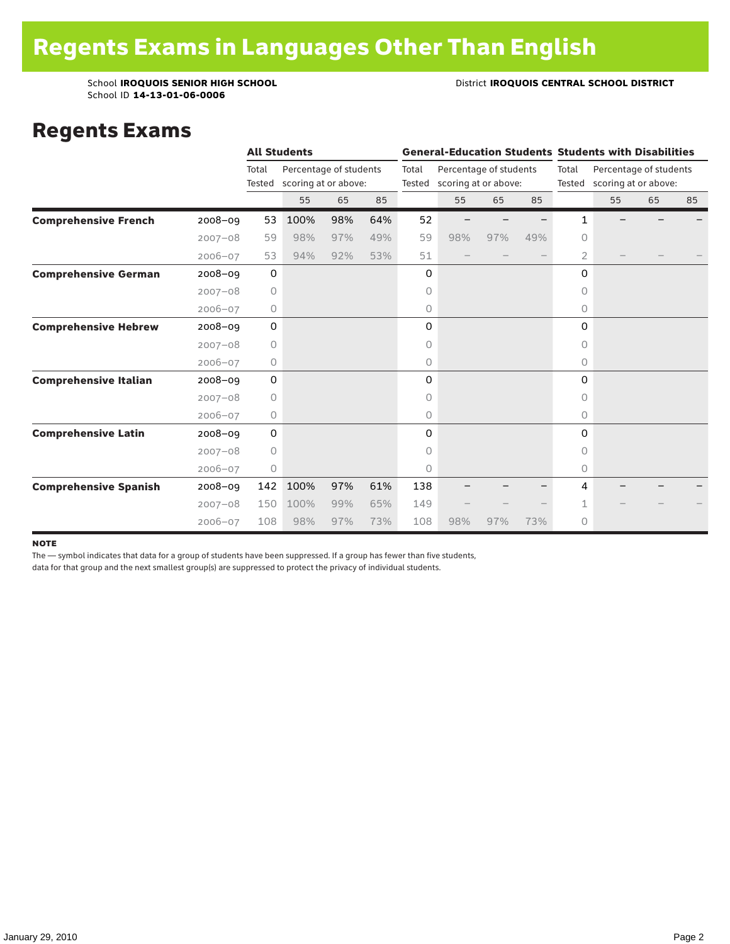School ID **14-13-01-06-0006**

#### School **IROQUOIS SENIOR HIGH SCHOOL District <b>IROQUOIS CENTRAL SCHOOL DISTRICT**

### Regents Exams

|                              |             |             | <b>All Students</b>    |     |     |       |                             |                        |     | <b>General-Education Students Students with Disabilities</b> |                             |    |    |
|------------------------------|-------------|-------------|------------------------|-----|-----|-------|-----------------------------|------------------------|-----|--------------------------------------------------------------|-----------------------------|----|----|
|                              |             | Total       | Percentage of students |     |     | Total |                             | Percentage of students |     | Total                                                        | Percentage of students      |    |    |
|                              |             | Tested      | scoring at or above:   |     |     |       | Tested scoring at or above: |                        |     |                                                              | Tested scoring at or above: |    |    |
|                              |             |             | 55                     | 65  | 85  |       | 55                          | 65                     | 85  |                                                              | 55                          | 65 | 85 |
| <b>Comprehensive French</b>  | $2008 - 09$ | 53          | 100%                   | 98% | 64% | 52    |                             |                        |     | 1                                                            |                             |    |    |
|                              | $2007 - 08$ | 59          | 98%                    | 97% | 49% | 59    | 98%                         | 97%                    | 49% | $\circ$                                                      |                             |    |    |
|                              | $2006 - 07$ | 53          | 94%                    | 92% | 53% | 51    |                             |                        |     | 2                                                            |                             |    |    |
| <b>Comprehensive German</b>  | $2008 - 09$ | 0           |                        |     |     | 0     |                             |                        |     | 0                                                            |                             |    |    |
|                              | $2007 - 08$ | $\circ$     |                        |     |     | 0     |                             |                        |     | 0                                                            |                             |    |    |
|                              | $2006 - 07$ | 0           |                        |     |     | 0     |                             |                        |     | 0                                                            |                             |    |    |
| <b>Comprehensive Hebrew</b>  | $2008 - 09$ | $\mathsf O$ |                        |     |     | 0     |                             |                        |     | $\Omega$                                                     |                             |    |    |
|                              | $2007 - 08$ | $\circ$     |                        |     |     | 0     |                             |                        |     | 0                                                            |                             |    |    |
|                              | $2006 - 07$ | 0           |                        |     |     | 0     |                             |                        |     | 0                                                            |                             |    |    |
| <b>Comprehensive Italian</b> | 2008-09     | $\mathbf 0$ |                        |     |     | 0     |                             |                        |     | 0                                                            |                             |    |    |
|                              | $2007 - 08$ | $\circ$     |                        |     |     | 0     |                             |                        |     | 0                                                            |                             |    |    |
|                              | $2006 - 07$ | 0           |                        |     |     | 0     |                             |                        |     | $\circ$                                                      |                             |    |    |
| <b>Comprehensive Latin</b>   | $2008 - 09$ | 0           |                        |     |     | 0     |                             |                        |     | 0                                                            |                             |    |    |
|                              | $2007 - 08$ | $\circ$     |                        |     |     | 0     |                             |                        |     | 0                                                            |                             |    |    |
|                              | $2006 - 07$ | 0           |                        |     |     | 0     |                             |                        |     | $\circ$                                                      |                             |    |    |
| <b>Comprehensive Spanish</b> | $2008 - 09$ | 142         | 100%                   | 97% | 61% | 138   |                             |                        |     | 4                                                            |                             |    |    |
|                              | $2007 - 08$ | 150         | 100%                   | 99% | 65% | 149   |                             |                        |     | 1                                                            |                             |    |    |
|                              | $2006 - 07$ | 108         | 98%                    | 97% | 73% | 108   | 98%                         | 97%                    | 73% | 0                                                            |                             |    |    |

#### note

The — symbol indicates that data for a group of students have been suppressed. If a group has fewer than five students,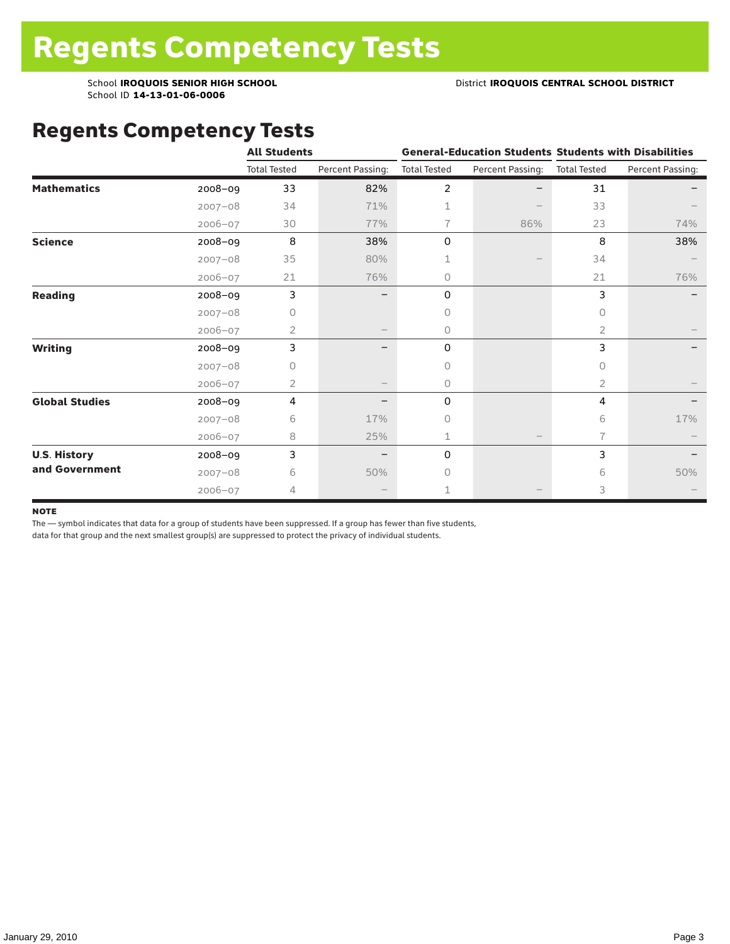### Regents Competency Tests

|                       |             | <b>All Students</b> |                  |                     |                  | <b>General-Education Students Students with Disabilities</b> |                  |  |  |
|-----------------------|-------------|---------------------|------------------|---------------------|------------------|--------------------------------------------------------------|------------------|--|--|
|                       |             | <b>Total Tested</b> | Percent Passing: | <b>Total Tested</b> | Percent Passing: | <b>Total Tested</b>                                          | Percent Passing: |  |  |
| <b>Mathematics</b>    | 2008-09     | 33                  | 82%              | 2                   |                  | 31                                                           |                  |  |  |
|                       | $2007 - 08$ | 34                  | 71%              | 1                   |                  | 33                                                           |                  |  |  |
|                       | $2006 - 07$ | 30                  | 77%              | 7                   | 86%              | 23                                                           | 74%              |  |  |
| <b>Science</b>        | 2008-09     | 8                   | 38%              | 0                   |                  | 8                                                            | 38%              |  |  |
|                       | $2007 - 08$ | 35                  | 80%              |                     |                  | 34                                                           |                  |  |  |
|                       | $2006 - 07$ | 21                  | 76%              | 0                   |                  | 21                                                           | 76%              |  |  |
| <b>Reading</b>        | 2008-09     | 3                   |                  | 0                   |                  | 3                                                            |                  |  |  |
|                       | $2007 - 08$ | U                   |                  | $\circ$             |                  | 0                                                            |                  |  |  |
|                       | $2006 - 07$ | $\overline{2}$      |                  | $\circ$             |                  | 2                                                            |                  |  |  |
| <b>Writing</b>        | 2008-09     | 3                   |                  | 0                   |                  | 3                                                            |                  |  |  |
|                       | $2007 - 08$ | 0                   |                  | $\Omega$            |                  | $\bigcap$                                                    |                  |  |  |
|                       | $2006 - 07$ | 2                   |                  | $\circ$             |                  | 2                                                            |                  |  |  |
| <b>Global Studies</b> | 2008-09     | 4                   |                  | 0                   |                  | 4                                                            |                  |  |  |
|                       | $2007 - 08$ | 6                   | 17%              | 0                   |                  | 6                                                            | 17%              |  |  |
|                       | 2006-07     | 8                   | 25%              | 1                   |                  | 7                                                            |                  |  |  |
| <b>U.S. History</b>   | 2008-09     | 3                   |                  | 0                   |                  | 3                                                            |                  |  |  |
| and Government        | $2007 - 08$ | 6                   | 50%              | $\bigcap$           |                  | 6                                                            | 50%              |  |  |
|                       | $2006 - 07$ | 4                   |                  |                     |                  | 3                                                            |                  |  |  |

#### **NOTE**

The — symbol indicates that data for a group of students have been suppressed. If a group has fewer than five students,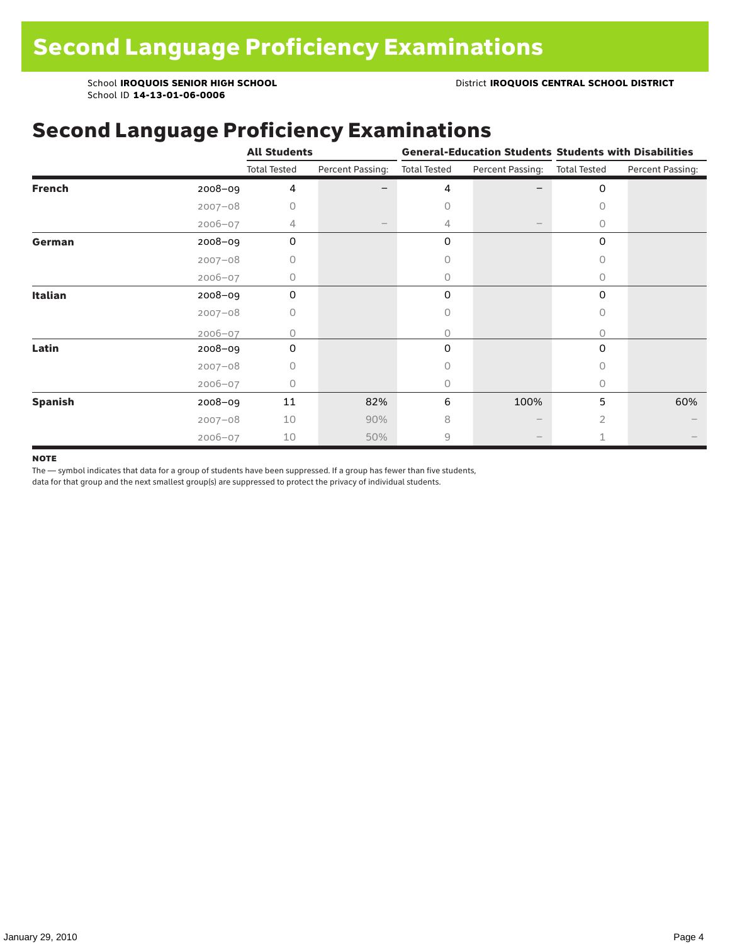## Second Language Proficiency Examinations

|                |             | <b>All Students</b> |                  |                     |                  | <b>General-Education Students Students with Disabilities</b> |                  |  |  |
|----------------|-------------|---------------------|------------------|---------------------|------------------|--------------------------------------------------------------|------------------|--|--|
|                |             | <b>Total Tested</b> | Percent Passing: | <b>Total Tested</b> | Percent Passing: | <b>Total Tested</b>                                          | Percent Passing: |  |  |
| <b>French</b>  | 2008-09     | 4                   |                  | 4                   |                  | 0                                                            |                  |  |  |
|                | $2007 - 08$ | 0                   |                  | 0                   |                  | 0                                                            |                  |  |  |
|                | $2006 - 07$ | 4                   |                  | 4                   |                  | 0                                                            |                  |  |  |
| German         | 2008-09     | 0                   |                  | 0                   |                  | 0                                                            |                  |  |  |
|                | $2007 - 08$ | 0                   |                  | Ω                   |                  | 0                                                            |                  |  |  |
|                | $2006 - 07$ | 0                   |                  | 0                   |                  | $\Omega$                                                     |                  |  |  |
| Italian        | 2008-09     | 0                   |                  | 0                   |                  | $\Omega$                                                     |                  |  |  |
|                | $2007 - 08$ | 0                   |                  | 0                   |                  | 0                                                            |                  |  |  |
|                | $2006 - 07$ | Ω                   |                  | 0                   |                  | $\bigcap$                                                    |                  |  |  |
| Latin          | 2008-09     | $\Omega$            |                  | $\Omega$            |                  | 0                                                            |                  |  |  |
|                | $2007 - 08$ | Ω                   |                  | Ω                   |                  | $\bigcap$                                                    |                  |  |  |
|                | $2006 - 07$ | 0                   |                  | 0                   |                  | 0                                                            |                  |  |  |
| <b>Spanish</b> | 2008-09     | 11                  | 82%              | 6                   | 100%             | 5                                                            | 60%              |  |  |
|                | $2007 - 08$ | 10                  | 90%              | 8                   |                  | $\overline{2}$                                               |                  |  |  |
|                | $2006 - 07$ | 10                  | 50%              | 9                   |                  | 1                                                            |                  |  |  |

#### **NOTE**

The — symbol indicates that data for a group of students have been suppressed. If a group has fewer than five students,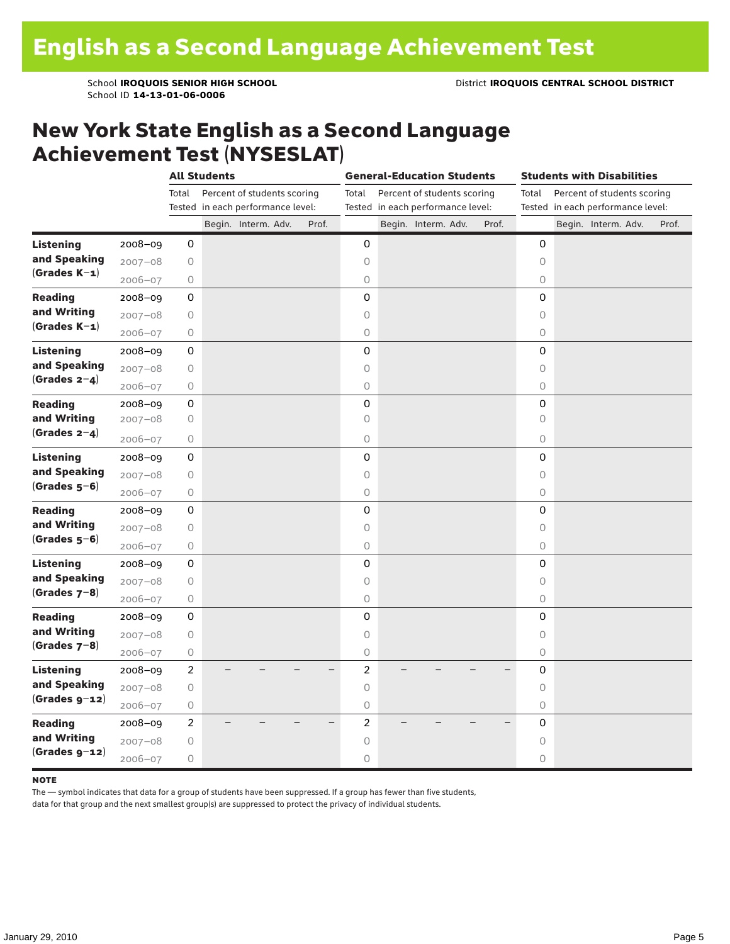### New York State English as a Second Language Achievement Test (NYSESLAT)

| Total<br>Percent of students scoring<br>Percent of students scoring<br>Percent of students scoring<br>Total<br>Total<br>Tested in each performance level:<br>Tested in each performance level:<br>Tested in each performance level:<br>Begin. Interm. Adv.<br>Prof.<br>Begin. Interm. Adv.<br>Prof.<br>Begin. Interm. Adv.<br>Prof.<br><b>Listening</b><br>2008-09<br>0<br>0<br>0<br>and Speaking<br>$2007 - 08$<br>$\bigcirc$<br>0<br>0<br>$(Grades K-1)$<br>$2006 - 07$<br>$\circ$<br>$\circ$<br>0<br>0<br>0<br><b>Reading</b><br>$2008 - 09$<br>0<br>and Writing<br>$2007 - 08$<br>0<br>0<br>$\circ$<br>$(Grades K-1)$<br>$\circ$<br>$2006 - 07$<br>$\bigcirc$<br>$\circ$<br><b>Listening</b><br>0<br>0<br>0<br>$2008 - 09$<br>and Speaking<br>$2007 - 08$<br>0<br>$\bigcirc$<br>$\Omega$<br>$(Grades 2-4)$<br>0<br>$\bigcirc$<br>$\bigcirc$<br>$2006 - 07$<br>0<br>0<br>0<br><b>Reading</b><br>2008-09<br>and Writing<br>$2007 - 08$<br>0<br>0<br>0<br>(Grades $2-4$ )<br>$2006 - 07$<br>$\bigcirc$<br>0<br>$\circ$<br>0<br>0<br>0<br>$2008 - 09$<br>Listening<br>and Speaking<br>$2007 - 08$<br>0<br>0<br>0<br>$(Grades 5-6)$<br>0<br>0<br>$\bigcirc$<br>$2006 - 07$<br>0<br>0<br>0<br><b>Reading</b><br>$2008 - 09$<br>and Writing<br>$2007 - 08$<br>0<br>$\bigcirc$<br>$\circ$<br>$(Grades 5-6)$<br>$\bigcirc$<br>$\circ$<br>$\circ$<br>$2006 - 07$<br>0<br>0<br>0<br>2008-09<br><b>Listening</b><br>and Speaking<br>$2007 - 08$<br>$\circ$<br>$\circ$<br>$\circ$<br>$(Grades 7-8)$<br>2006-07<br>0<br>0<br>0<br>0<br>0<br>0<br><b>Reading</b><br>$2008 - 09$<br>and Writing<br>$\bigcirc$<br>0<br>$\circ$<br>$2007 - 08$<br>$(Grades 7-8)$<br>0<br>0<br>$\bigcirc$<br>$2006 - 07$<br>$\overline{c}$<br>2008-09<br>$\overline{2}$<br>0<br><b>Listening</b><br>and Speaking<br>$2007 - 08$<br>0<br>$\circ$<br>$\circ$<br>$(Grades g-12)$<br>$\bigcirc$<br>$2006 - 07$<br>0<br>0<br>$\overline{c}$<br>$\overline{c}$<br>0<br><b>Reading</b><br>2008-09<br>and Writing<br>$2007 - 08$<br>$\bigcirc$<br>$\bigcirc$<br>0<br>$(Grades g-12)$<br>$\bigcirc$<br>0<br>0 |             | <b>All Students</b> |  | <b>General-Education Students</b> |  |  |  | <b>Students with Disabilities</b> |  |  |  |  |
|-----------------------------------------------------------------------------------------------------------------------------------------------------------------------------------------------------------------------------------------------------------------------------------------------------------------------------------------------------------------------------------------------------------------------------------------------------------------------------------------------------------------------------------------------------------------------------------------------------------------------------------------------------------------------------------------------------------------------------------------------------------------------------------------------------------------------------------------------------------------------------------------------------------------------------------------------------------------------------------------------------------------------------------------------------------------------------------------------------------------------------------------------------------------------------------------------------------------------------------------------------------------------------------------------------------------------------------------------------------------------------------------------------------------------------------------------------------------------------------------------------------------------------------------------------------------------------------------------------------------------------------------------------------------------------------------------------------------------------------------------------------------------------------------------------------------------------------------------------------------------------------------------------------------------------------------------------------------------------------------------------------------------------------------------------------------------|-------------|---------------------|--|-----------------------------------|--|--|--|-----------------------------------|--|--|--|--|
|                                                                                                                                                                                                                                                                                                                                                                                                                                                                                                                                                                                                                                                                                                                                                                                                                                                                                                                                                                                                                                                                                                                                                                                                                                                                                                                                                                                                                                                                                                                                                                                                                                                                                                                                                                                                                                                                                                                                                                                                                                                                       |             |                     |  |                                   |  |  |  |                                   |  |  |  |  |
|                                                                                                                                                                                                                                                                                                                                                                                                                                                                                                                                                                                                                                                                                                                                                                                                                                                                                                                                                                                                                                                                                                                                                                                                                                                                                                                                                                                                                                                                                                                                                                                                                                                                                                                                                                                                                                                                                                                                                                                                                                                                       |             |                     |  |                                   |  |  |  |                                   |  |  |  |  |
|                                                                                                                                                                                                                                                                                                                                                                                                                                                                                                                                                                                                                                                                                                                                                                                                                                                                                                                                                                                                                                                                                                                                                                                                                                                                                                                                                                                                                                                                                                                                                                                                                                                                                                                                                                                                                                                                                                                                                                                                                                                                       |             |                     |  |                                   |  |  |  |                                   |  |  |  |  |
|                                                                                                                                                                                                                                                                                                                                                                                                                                                                                                                                                                                                                                                                                                                                                                                                                                                                                                                                                                                                                                                                                                                                                                                                                                                                                                                                                                                                                                                                                                                                                                                                                                                                                                                                                                                                                                                                                                                                                                                                                                                                       |             |                     |  |                                   |  |  |  |                                   |  |  |  |  |
|                                                                                                                                                                                                                                                                                                                                                                                                                                                                                                                                                                                                                                                                                                                                                                                                                                                                                                                                                                                                                                                                                                                                                                                                                                                                                                                                                                                                                                                                                                                                                                                                                                                                                                                                                                                                                                                                                                                                                                                                                                                                       |             |                     |  |                                   |  |  |  |                                   |  |  |  |  |
|                                                                                                                                                                                                                                                                                                                                                                                                                                                                                                                                                                                                                                                                                                                                                                                                                                                                                                                                                                                                                                                                                                                                                                                                                                                                                                                                                                                                                                                                                                                                                                                                                                                                                                                                                                                                                                                                                                                                                                                                                                                                       |             |                     |  |                                   |  |  |  |                                   |  |  |  |  |
|                                                                                                                                                                                                                                                                                                                                                                                                                                                                                                                                                                                                                                                                                                                                                                                                                                                                                                                                                                                                                                                                                                                                                                                                                                                                                                                                                                                                                                                                                                                                                                                                                                                                                                                                                                                                                                                                                                                                                                                                                                                                       |             |                     |  |                                   |  |  |  |                                   |  |  |  |  |
|                                                                                                                                                                                                                                                                                                                                                                                                                                                                                                                                                                                                                                                                                                                                                                                                                                                                                                                                                                                                                                                                                                                                                                                                                                                                                                                                                                                                                                                                                                                                                                                                                                                                                                                                                                                                                                                                                                                                                                                                                                                                       |             |                     |  |                                   |  |  |  |                                   |  |  |  |  |
|                                                                                                                                                                                                                                                                                                                                                                                                                                                                                                                                                                                                                                                                                                                                                                                                                                                                                                                                                                                                                                                                                                                                                                                                                                                                                                                                                                                                                                                                                                                                                                                                                                                                                                                                                                                                                                                                                                                                                                                                                                                                       |             |                     |  |                                   |  |  |  |                                   |  |  |  |  |
|                                                                                                                                                                                                                                                                                                                                                                                                                                                                                                                                                                                                                                                                                                                                                                                                                                                                                                                                                                                                                                                                                                                                                                                                                                                                                                                                                                                                                                                                                                                                                                                                                                                                                                                                                                                                                                                                                                                                                                                                                                                                       |             |                     |  |                                   |  |  |  |                                   |  |  |  |  |
|                                                                                                                                                                                                                                                                                                                                                                                                                                                                                                                                                                                                                                                                                                                                                                                                                                                                                                                                                                                                                                                                                                                                                                                                                                                                                                                                                                                                                                                                                                                                                                                                                                                                                                                                                                                                                                                                                                                                                                                                                                                                       |             |                     |  |                                   |  |  |  |                                   |  |  |  |  |
|                                                                                                                                                                                                                                                                                                                                                                                                                                                                                                                                                                                                                                                                                                                                                                                                                                                                                                                                                                                                                                                                                                                                                                                                                                                                                                                                                                                                                                                                                                                                                                                                                                                                                                                                                                                                                                                                                                                                                                                                                                                                       |             |                     |  |                                   |  |  |  |                                   |  |  |  |  |
|                                                                                                                                                                                                                                                                                                                                                                                                                                                                                                                                                                                                                                                                                                                                                                                                                                                                                                                                                                                                                                                                                                                                                                                                                                                                                                                                                                                                                                                                                                                                                                                                                                                                                                                                                                                                                                                                                                                                                                                                                                                                       |             |                     |  |                                   |  |  |  |                                   |  |  |  |  |
|                                                                                                                                                                                                                                                                                                                                                                                                                                                                                                                                                                                                                                                                                                                                                                                                                                                                                                                                                                                                                                                                                                                                                                                                                                                                                                                                                                                                                                                                                                                                                                                                                                                                                                                                                                                                                                                                                                                                                                                                                                                                       |             |                     |  |                                   |  |  |  |                                   |  |  |  |  |
|                                                                                                                                                                                                                                                                                                                                                                                                                                                                                                                                                                                                                                                                                                                                                                                                                                                                                                                                                                                                                                                                                                                                                                                                                                                                                                                                                                                                                                                                                                                                                                                                                                                                                                                                                                                                                                                                                                                                                                                                                                                                       |             |                     |  |                                   |  |  |  |                                   |  |  |  |  |
|                                                                                                                                                                                                                                                                                                                                                                                                                                                                                                                                                                                                                                                                                                                                                                                                                                                                                                                                                                                                                                                                                                                                                                                                                                                                                                                                                                                                                                                                                                                                                                                                                                                                                                                                                                                                                                                                                                                                                                                                                                                                       |             |                     |  |                                   |  |  |  |                                   |  |  |  |  |
|                                                                                                                                                                                                                                                                                                                                                                                                                                                                                                                                                                                                                                                                                                                                                                                                                                                                                                                                                                                                                                                                                                                                                                                                                                                                                                                                                                                                                                                                                                                                                                                                                                                                                                                                                                                                                                                                                                                                                                                                                                                                       |             |                     |  |                                   |  |  |  |                                   |  |  |  |  |
|                                                                                                                                                                                                                                                                                                                                                                                                                                                                                                                                                                                                                                                                                                                                                                                                                                                                                                                                                                                                                                                                                                                                                                                                                                                                                                                                                                                                                                                                                                                                                                                                                                                                                                                                                                                                                                                                                                                                                                                                                                                                       |             |                     |  |                                   |  |  |  |                                   |  |  |  |  |
|                                                                                                                                                                                                                                                                                                                                                                                                                                                                                                                                                                                                                                                                                                                                                                                                                                                                                                                                                                                                                                                                                                                                                                                                                                                                                                                                                                                                                                                                                                                                                                                                                                                                                                                                                                                                                                                                                                                                                                                                                                                                       |             |                     |  |                                   |  |  |  |                                   |  |  |  |  |
|                                                                                                                                                                                                                                                                                                                                                                                                                                                                                                                                                                                                                                                                                                                                                                                                                                                                                                                                                                                                                                                                                                                                                                                                                                                                                                                                                                                                                                                                                                                                                                                                                                                                                                                                                                                                                                                                                                                                                                                                                                                                       |             |                     |  |                                   |  |  |  |                                   |  |  |  |  |
|                                                                                                                                                                                                                                                                                                                                                                                                                                                                                                                                                                                                                                                                                                                                                                                                                                                                                                                                                                                                                                                                                                                                                                                                                                                                                                                                                                                                                                                                                                                                                                                                                                                                                                                                                                                                                                                                                                                                                                                                                                                                       |             |                     |  |                                   |  |  |  |                                   |  |  |  |  |
|                                                                                                                                                                                                                                                                                                                                                                                                                                                                                                                                                                                                                                                                                                                                                                                                                                                                                                                                                                                                                                                                                                                                                                                                                                                                                                                                                                                                                                                                                                                                                                                                                                                                                                                                                                                                                                                                                                                                                                                                                                                                       |             |                     |  |                                   |  |  |  |                                   |  |  |  |  |
|                                                                                                                                                                                                                                                                                                                                                                                                                                                                                                                                                                                                                                                                                                                                                                                                                                                                                                                                                                                                                                                                                                                                                                                                                                                                                                                                                                                                                                                                                                                                                                                                                                                                                                                                                                                                                                                                                                                                                                                                                                                                       |             |                     |  |                                   |  |  |  |                                   |  |  |  |  |
|                                                                                                                                                                                                                                                                                                                                                                                                                                                                                                                                                                                                                                                                                                                                                                                                                                                                                                                                                                                                                                                                                                                                                                                                                                                                                                                                                                                                                                                                                                                                                                                                                                                                                                                                                                                                                                                                                                                                                                                                                                                                       |             |                     |  |                                   |  |  |  |                                   |  |  |  |  |
|                                                                                                                                                                                                                                                                                                                                                                                                                                                                                                                                                                                                                                                                                                                                                                                                                                                                                                                                                                                                                                                                                                                                                                                                                                                                                                                                                                                                                                                                                                                                                                                                                                                                                                                                                                                                                                                                                                                                                                                                                                                                       |             |                     |  |                                   |  |  |  |                                   |  |  |  |  |
|                                                                                                                                                                                                                                                                                                                                                                                                                                                                                                                                                                                                                                                                                                                                                                                                                                                                                                                                                                                                                                                                                                                                                                                                                                                                                                                                                                                                                                                                                                                                                                                                                                                                                                                                                                                                                                                                                                                                                                                                                                                                       |             |                     |  |                                   |  |  |  |                                   |  |  |  |  |
|                                                                                                                                                                                                                                                                                                                                                                                                                                                                                                                                                                                                                                                                                                                                                                                                                                                                                                                                                                                                                                                                                                                                                                                                                                                                                                                                                                                                                                                                                                                                                                                                                                                                                                                                                                                                                                                                                                                                                                                                                                                                       |             |                     |  |                                   |  |  |  |                                   |  |  |  |  |
|                                                                                                                                                                                                                                                                                                                                                                                                                                                                                                                                                                                                                                                                                                                                                                                                                                                                                                                                                                                                                                                                                                                                                                                                                                                                                                                                                                                                                                                                                                                                                                                                                                                                                                                                                                                                                                                                                                                                                                                                                                                                       |             |                     |  |                                   |  |  |  |                                   |  |  |  |  |
|                                                                                                                                                                                                                                                                                                                                                                                                                                                                                                                                                                                                                                                                                                                                                                                                                                                                                                                                                                                                                                                                                                                                                                                                                                                                                                                                                                                                                                                                                                                                                                                                                                                                                                                                                                                                                                                                                                                                                                                                                                                                       |             |                     |  |                                   |  |  |  |                                   |  |  |  |  |
|                                                                                                                                                                                                                                                                                                                                                                                                                                                                                                                                                                                                                                                                                                                                                                                                                                                                                                                                                                                                                                                                                                                                                                                                                                                                                                                                                                                                                                                                                                                                                                                                                                                                                                                                                                                                                                                                                                                                                                                                                                                                       |             |                     |  |                                   |  |  |  |                                   |  |  |  |  |
|                                                                                                                                                                                                                                                                                                                                                                                                                                                                                                                                                                                                                                                                                                                                                                                                                                                                                                                                                                                                                                                                                                                                                                                                                                                                                                                                                                                                                                                                                                                                                                                                                                                                                                                                                                                                                                                                                                                                                                                                                                                                       |             |                     |  |                                   |  |  |  |                                   |  |  |  |  |
|                                                                                                                                                                                                                                                                                                                                                                                                                                                                                                                                                                                                                                                                                                                                                                                                                                                                                                                                                                                                                                                                                                                                                                                                                                                                                                                                                                                                                                                                                                                                                                                                                                                                                                                                                                                                                                                                                                                                                                                                                                                                       |             |                     |  |                                   |  |  |  |                                   |  |  |  |  |
|                                                                                                                                                                                                                                                                                                                                                                                                                                                                                                                                                                                                                                                                                                                                                                                                                                                                                                                                                                                                                                                                                                                                                                                                                                                                                                                                                                                                                                                                                                                                                                                                                                                                                                                                                                                                                                                                                                                                                                                                                                                                       | $2006 - 07$ |                     |  |                                   |  |  |  |                                   |  |  |  |  |

#### **NOTE**

The — symbol indicates that data for a group of students have been suppressed. If a group has fewer than five students,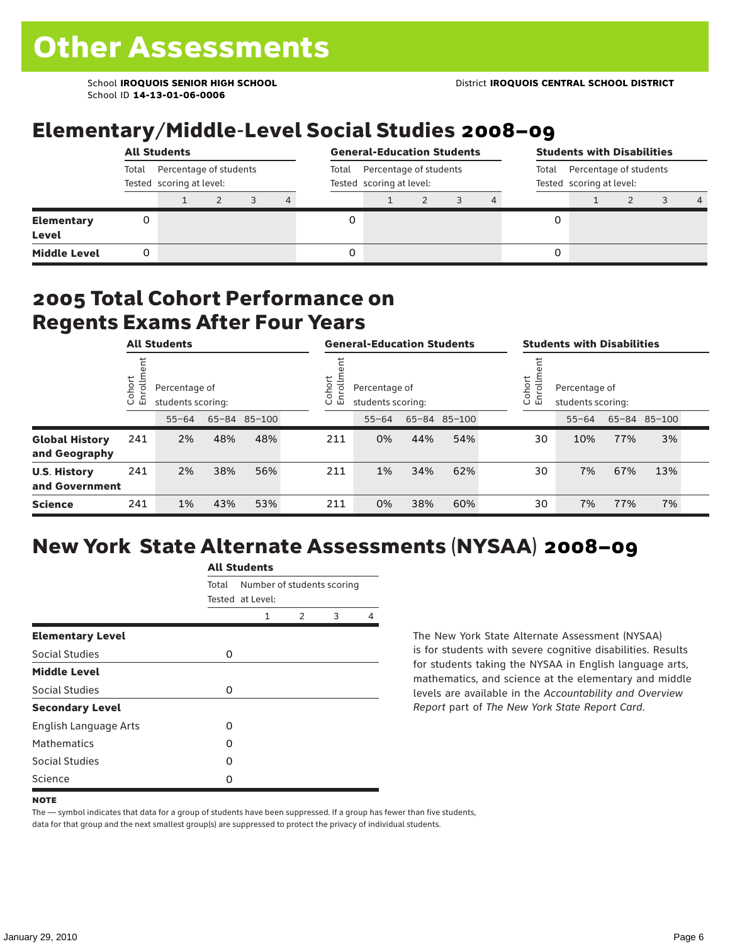## Elementary/Middle-Level Social Studies 2008–09

|                                   |       | <b>All Students</b>                                     |  |                                                             |  | <b>General-Education Students</b> |                                                             |  |   | <b>Students with Disabilities</b> |  |  |   |
|-----------------------------------|-------|---------------------------------------------------------|--|-------------------------------------------------------------|--|-----------------------------------|-------------------------------------------------------------|--|---|-----------------------------------|--|--|---|
|                                   | Total | Percentage of students<br>Tested scoring at level:<br>4 |  | Percentage of students<br>Total<br>Tested scoring at level: |  |                                   | Percentage of students<br>Total<br>Tested scoring at level: |  |   |                                   |  |  |   |
|                                   |       |                                                         |  |                                                             |  |                                   |                                                             |  |   |                                   |  |  | 4 |
| <b>Elementary</b><br><b>Level</b> | 0     |                                                         |  |                                                             |  |                                   |                                                             |  | 0 |                                   |  |  |   |
| <b>Middle Level</b>               | 0     |                                                         |  |                                                             |  |                                   |                                                             |  | 0 |                                   |  |  |   |

### 2005 Total Cohort Performance on Regents Exams After Four Years

|                                        |                       | <b>All Students</b>                |     |              |                       | <b>General-Education Students</b>  |     |              | <b>Students with Disabilities</b> |                                    |     |              |  |
|----------------------------------------|-----------------------|------------------------------------|-----|--------------|-----------------------|------------------------------------|-----|--------------|-----------------------------------|------------------------------------|-----|--------------|--|
|                                        | ゼ<br>Cohoi<br>o,<br>屲 | Percentage of<br>students scoring: |     |              | Cohort<br>⋍<br>ō<br>띧 | Percentage of<br>students scoring: |     |              | Cohort<br>$=$<br>9<br>문           | Percentage of<br>students scoring: |     |              |  |
|                                        |                       | $55 - 64$                          |     | 65-84 85-100 |                       | $55 - 64$                          |     | 65-84 85-100 |                                   | $55 - 64$                          |     | 65-84 85-100 |  |
| <b>Global History</b><br>and Geography | 241                   | 2%                                 | 48% | 48%          | 211                   | 0%                                 | 44% | 54%          | 30                                | 10%                                | 77% | 3%           |  |
| <b>U.S. History</b><br>and Government  | 241                   | 2%                                 | 38% | 56%          | 211                   | 1%                                 | 34% | 62%          | 30                                | 7%                                 | 67% | 13%          |  |
| <b>Science</b>                         | 241                   | 1%                                 | 43% | 53%          | 211                   | 0%                                 | 38% | 60%          | 30                                | 7%                                 | 77% | 7%           |  |

# New York State Alternate Assessments (NYSAA) 2008–09

|                              | <b>All Students</b> |                                                |               |   |   |  |  |  |
|------------------------------|---------------------|------------------------------------------------|---------------|---|---|--|--|--|
|                              | Total               | Number of students scoring<br>Tested at Level: |               |   |   |  |  |  |
|                              |                     | 1                                              | $\mathcal{P}$ | 3 | 4 |  |  |  |
| <b>Elementary Level</b>      |                     |                                                |               |   |   |  |  |  |
| Social Studies               | 0                   |                                                |               |   |   |  |  |  |
| <b>Middle Level</b>          |                     |                                                |               |   |   |  |  |  |
| Social Studies               | 0                   |                                                |               |   |   |  |  |  |
| <b>Secondary Level</b>       |                     |                                                |               |   |   |  |  |  |
| <b>English Language Arts</b> | O                   |                                                |               |   |   |  |  |  |
| <b>Mathematics</b>           | O                   |                                                |               |   |   |  |  |  |
| Social Studies               | O                   |                                                |               |   |   |  |  |  |
| Science                      | Ω                   |                                                |               |   |   |  |  |  |

The New York State Alternate Assessment (NYSAA) is for students with severe cognitive disabilities. Results for students taking the NYSAA in English language arts, mathematics, and science at the elementary and middle levels are available in the *Accountability and Overview Report* part of *The New York State Report Card*.

The — symbol indicates that data for a group of students have been suppressed. If a group has fewer than five students, data for that group and the next smallest group(s) are suppressed to protect the privacy of individual students.

**NOTE**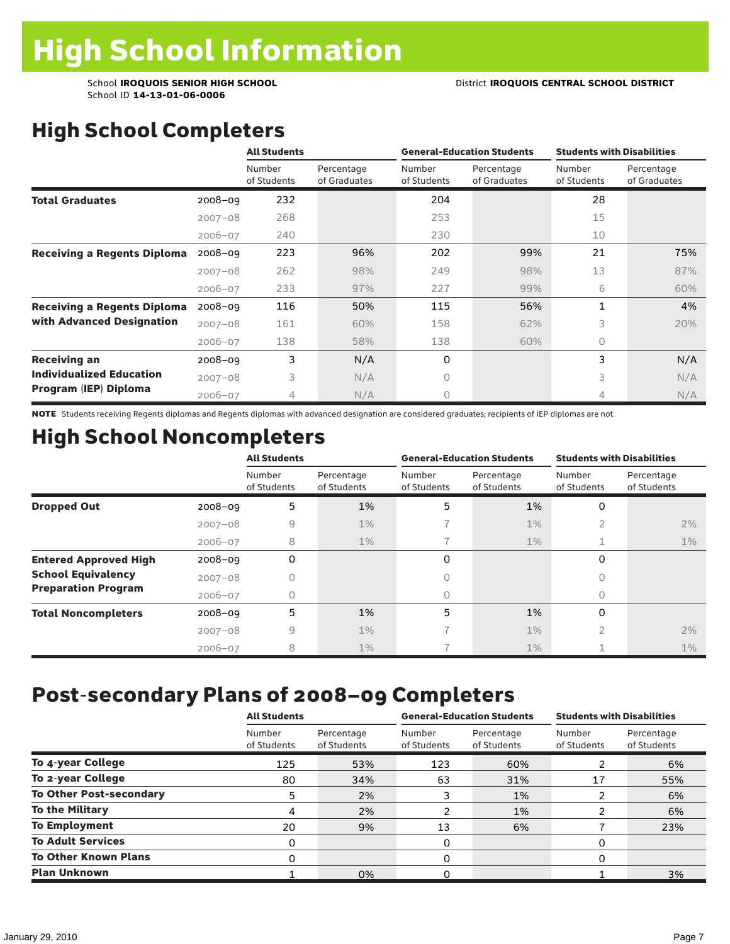# High School Completers

|                                    |             | <b>All Students</b>   |                            |                       | <b>General-Education Students</b> | <b>Students with Disabilities</b> |                            |
|------------------------------------|-------------|-----------------------|----------------------------|-----------------------|-----------------------------------|-----------------------------------|----------------------------|
|                                    |             | Number<br>of Students | Percentage<br>of Graduates | Number<br>of Students | Percentage<br>of Graduates        | Number<br>of Students             | Percentage<br>of Graduates |
| <b>Total Graduates</b>             | $2008 - 09$ | 232                   |                            | 204                   |                                   | 28                                |                            |
|                                    | $2007 - 08$ | 268                   |                            | 253                   |                                   | 15                                |                            |
|                                    | $2006 - 07$ | 240                   |                            | 230                   |                                   | 10                                |                            |
| <b>Receiving a Regents Diploma</b> | $2008 - 09$ | 223                   | 96%                        | 202                   | 99%                               | 21                                | 75%                        |
|                                    | $2007 - 08$ | 262                   | 98%                        | 249                   | 98%                               | 13                                | 87%                        |
|                                    | $2006 - 07$ | 233                   | 97%                        | 227                   | 99%                               | 6                                 | 60%                        |
| <b>Receiving a Regents Diploma</b> | $2008 - 09$ | 116                   | 50%                        | 115                   | 56%                               | 1                                 | 4%                         |
| with Advanced Designation          | $2007 - 08$ | 161                   | 60%                        | 158                   | 62%                               | 3                                 | 20%                        |
|                                    | $2006 - 07$ | 138                   | 58%                        | 138                   | 60%                               | $\Omega$                          |                            |
| <b>Receiving an</b>                | 2008-09     | 3                     | N/A                        | 0                     |                                   | 3                                 | N/A                        |
| <b>Individualized Education</b>    | $2007 - 08$ | 3                     | N/A                        | $\Omega$              |                                   | 3                                 | N/A                        |
| Program (IEP) Diploma              | $2006 - 07$ | 4                     | N/A                        | $\circ$               |                                   | 4                                 | N/A                        |

NOTE Students receiving Regents diplomas and Regents diplomas with advanced designation are considered graduates; recipients of IEP diplomas are not.

## High School Noncompleters

|                              |             | <b>All Students</b>   |                           |                       | <b>General-Education Students</b> | <b>Students with Disabilities</b> |                           |
|------------------------------|-------------|-----------------------|---------------------------|-----------------------|-----------------------------------|-----------------------------------|---------------------------|
|                              |             | Number<br>of Students | Percentage<br>of Students | Number<br>of Students | Percentage<br>of Students         | Number<br>of Students             | Percentage<br>of Students |
| <b>Dropped Out</b>           | $2008 - 09$ | 5                     | 1%                        | 5                     | 1%                                | 0                                 |                           |
|                              | $2007 - 08$ | 9                     | $1\%$                     |                       | $1\%$                             | 2                                 | 2%                        |
|                              | $2006 - 07$ | 8                     | $1\%$                     |                       | $1\%$                             | 1                                 | $1\%$                     |
| <b>Entered Approved High</b> | $2008 - 09$ | 0                     |                           | 0                     |                                   | 0                                 |                           |
| <b>School Equivalency</b>    | $2007 - 08$ | 0                     |                           | 0                     |                                   | O                                 |                           |
| <b>Preparation Program</b>   | $2006 - 07$ | 0                     |                           | 0                     |                                   | 0                                 |                           |
| <b>Total Noncompleters</b>   | $2008 - 09$ | 5                     | 1%                        | 5                     | 1%                                | 0                                 |                           |
|                              | $2007 - 08$ | 9                     | $1\%$                     | 7                     | 1%                                | 2                                 | 2%                        |
|                              | $2006 - 07$ | 8                     | $1\%$                     |                       | $1\%$                             |                                   | $1\%$                     |

### Post-secondary Plans of 2008–09 Completers

|                                | <b>All Students</b>   |                           |                       | <b>General-Education Students</b> | <b>Students with Disabilities</b> |                           |  |
|--------------------------------|-----------------------|---------------------------|-----------------------|-----------------------------------|-----------------------------------|---------------------------|--|
|                                | Number<br>of Students | Percentage<br>of Students | Number<br>of Students | Percentage<br>of Students         | Number<br>of Students             | Percentage<br>of Students |  |
| To 4-year College              | 125                   | 53%                       | 123                   | 60%                               |                                   | 6%                        |  |
| To 2-year College              | 80                    | 34%                       | 63                    | 31%                               | 17                                | 55%                       |  |
| <b>To Other Post-secondary</b> | 5                     | 2%                        | 3                     | 1%                                |                                   | 6%                        |  |
| <b>To the Military</b>         | 4                     | 2%                        | າ                     | 1%                                |                                   | 6%                        |  |
| <b>To Employment</b>           | 20                    | 9%                        | 13                    | 6%                                |                                   | 23%                       |  |
| <b>To Adult Services</b>       | 0                     |                           | 0                     |                                   | 0                                 |                           |  |
| <b>To Other Known Plans</b>    | 0                     |                           | 0                     |                                   | 0                                 |                           |  |
| <b>Plan Unknown</b>            |                       | 0%                        | ი                     |                                   |                                   | 3%                        |  |